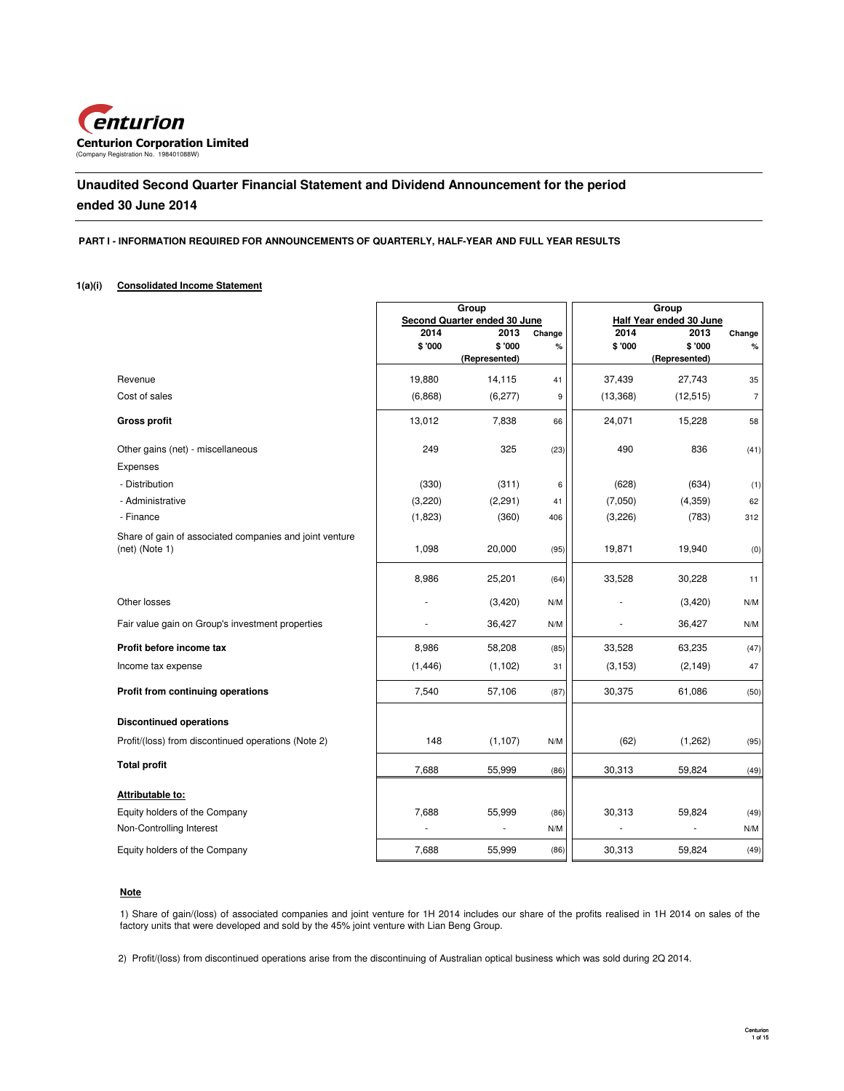

# **Unaudited Second Quarter Financial Statement and Dividend Announcement for the period ended 30 June 2014**

### **PART I - INFORMATION REQUIRED FOR ANNOUNCEMENTS OF QUARTERLY, HALF-YEAR AND FULL YEAR RESULTS**

### **1(a)(i) Consolidated Income Statement**

|                                                                           |          | Group<br>Second Quarter ended 30 June |        | Group<br>Half Year ended 30 June |               |                |
|---------------------------------------------------------------------------|----------|---------------------------------------|--------|----------------------------------|---------------|----------------|
|                                                                           | 2014     | 2013                                  | Change | 2014                             | 2013          | Change         |
|                                                                           | \$'000   | \$'000                                | %      | \$ '000                          | \$'000        | $\%$           |
|                                                                           |          | (Represented)                         |        |                                  | (Represented) |                |
| Revenue                                                                   | 19,880   | 14,115                                | 41     | 37,439                           | 27,743        | 35             |
| Cost of sales                                                             | (6,868)  | (6, 277)                              | 9      | (13, 368)                        | (12, 515)     | $\overline{7}$ |
| <b>Gross profit</b>                                                       | 13,012   | 7,838                                 | 66     | 24,071                           | 15,228        | 58             |
| Other gains (net) - miscellaneous                                         | 249      | 325                                   | (23)   | 490                              | 836           | (41)           |
| Expenses                                                                  |          |                                       |        |                                  |               |                |
| - Distribution                                                            | (330)    | (311)                                 | 6      | (628)                            | (634)         | (1)            |
| - Administrative                                                          | (3,220)  | (2, 291)                              | 41     | (7,050)                          | (4, 359)      | 62             |
| - Finance                                                                 | (1,823)  | (360)                                 | 406    | (3,226)                          | (783)         | 312            |
| Share of gain of associated companies and joint venture<br>(net) (Note 1) | 1,098    | 20,000                                | (95)   | 19,871                           | 19,940        | (0)            |
|                                                                           | 8,986    | 25,201                                | (64)   | 33,528                           | 30,228        | 11             |
| Other losses                                                              |          | (3,420)                               | N/M    |                                  | (3,420)       | N/M            |
| Fair value gain on Group's investment properties                          |          | 36,427                                | N/M    |                                  | 36,427        | N/M            |
| Profit before income tax                                                  | 8,986    | 58,208                                | (85)   | 33,528                           | 63,235        | (47)           |
| Income tax expense                                                        | (1, 446) | (1, 102)                              | 31     | (3, 153)                         | (2, 149)      | 47             |
| Profit from continuing operations                                         | 7,540    | 57,106                                | (87)   | 30,375                           | 61,086        | (50)           |
| <b>Discontinued operations</b>                                            |          |                                       |        |                                  |               |                |
| Profit/(loss) from discontinued operations (Note 2)                       | 148      | (1, 107)                              | N/M    | (62)                             | (1,262)       | (95)           |
| <b>Total profit</b>                                                       | 7,688    | 55,999                                | (86)   | 30,313                           | 59,824        | (49)           |
| Attributable to:                                                          |          |                                       |        |                                  |               |                |
| Equity holders of the Company                                             | 7,688    | 55,999                                | (86)   | 30,313                           | 59,824        | (49)           |
| Non-Controlling Interest                                                  |          | ÷,                                    | N/M    |                                  |               | N/M            |
| Equity holders of the Company                                             | 7,688    | 55,999                                | (86)   | 30,313                           | 59,824        | (49)           |

### **Note**

1) Share of gain/(loss) of associated companies and joint venture for 1H 2014 includes our share of the profits realised in 1H 2014 on sales of the factory units that were developed and sold by the 45% joint venture with Lian Beng Group.

2) Profit/(loss) from discontinued operations arise from the discontinuing of Australian optical business which was sold during 2Q 2014.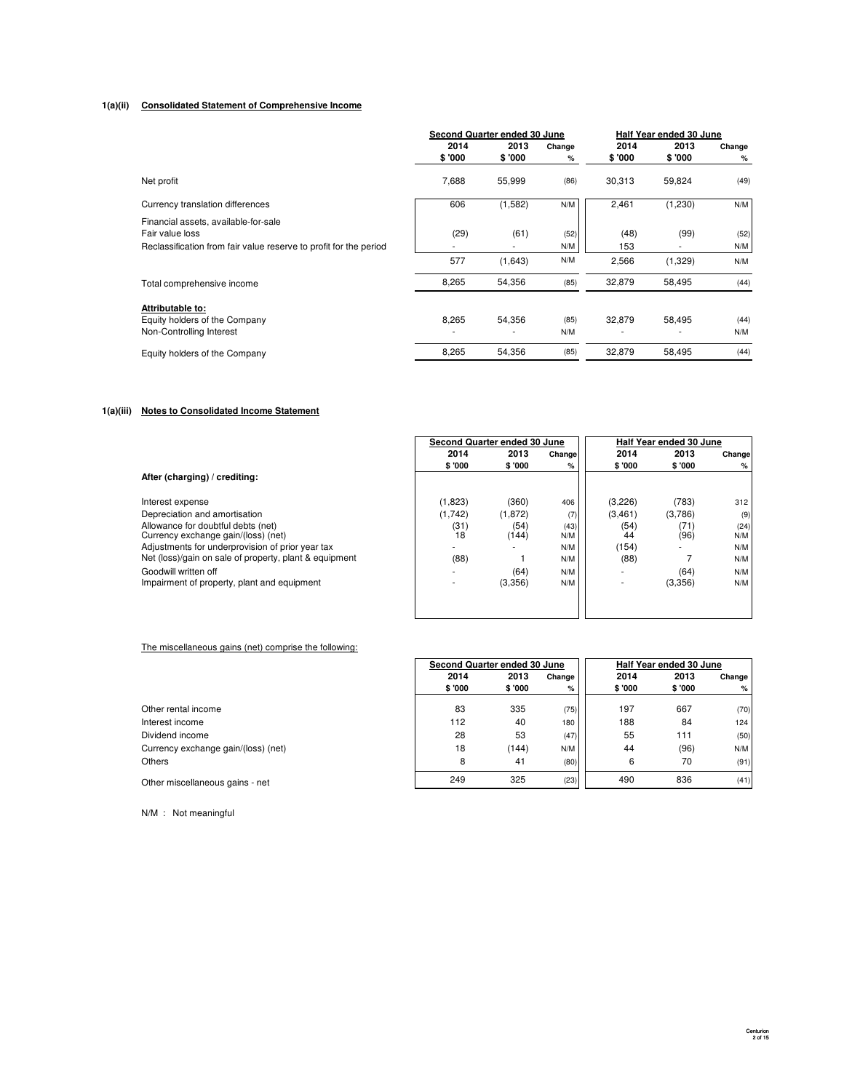### **1(a)(ii) Consolidated Statement of Comprehensive Income**

|                                                                                                                              |                                  | Second Quarter ended 30 June |             |             | Half Year ended 30 June |             |
|------------------------------------------------------------------------------------------------------------------------------|----------------------------------|------------------------------|-------------|-------------|-------------------------|-------------|
|                                                                                                                              | 2014                             | 2013                         | Change      | 2014        | 2013                    | Change      |
|                                                                                                                              | \$ '000                          | \$ '000                      | %           | \$'000      | \$'000                  | %           |
| Net profit                                                                                                                   | 7,688                            | 55,999                       | (86)        | 30,313      | 59,824                  | (49)        |
| Currency translation differences                                                                                             | 606                              | (1,582)                      | N/M         | 2,461       | (1,230)                 | N/M         |
| Financial assets, available-for-sale<br>Fair value loss<br>Reclassification from fair value reserve to profit for the period | (29)<br>$\overline{\phantom{a}}$ | (61)                         | (52)<br>N/M | (48)<br>153 | (99)                    | (52)<br>N/M |
|                                                                                                                              | 577                              | (1,643)                      | N/M         | 2,566       | (1,329)                 | N/M         |
| Total comprehensive income                                                                                                   | 8,265                            | 54,356                       | (85)        | 32,879      | 58,495                  | (44)        |
| Attributable to:<br>Equity holders of the Company<br>Non-Controlling Interest                                                | 8,265<br>٠                       | 54,356                       | (85)<br>N/M | 32,879      | 58,495<br>۰             | (44)<br>N/M |
| Equity holders of the Company                                                                                                | 8,265                            | 54,356                       | (85)        | 32,879      | 58,495                  | (44)        |

### **1(a)(iii) Notes to Consolidated Income Statement**

|                                                        |                          | Second Quarter ended 30 June |        | Half Year ended 30 June |         |        |
|--------------------------------------------------------|--------------------------|------------------------------|--------|-------------------------|---------|--------|
|                                                        | 2014                     | 2013                         | Change | 2014                    | 2013    | Change |
|                                                        | \$ '000                  | \$ '000                      | %      | \$ '000                 | \$ '000 | %      |
| After (charging) / crediting:                          |                          |                              |        |                         |         |        |
| Interest expense                                       | (1,823)                  | (360)                        | 406    | (3,226)                 | (783)   | 312    |
| Depreciation and amortisation                          | (1,742)                  | (1,872)                      | (7)    | (3, 461)                | (3,786) | (9)    |
| Allowance for doubtful debts (net)                     | (31)                     | (54)                         | (43)   | (54)                    | (71)    | (24)   |
| Currency exchange gain/(loss) (net)                    | 18                       | (144)                        | N/M    | 44                      | (96)    | N/M    |
| Adjustments for underprovision of prior year tax       |                          |                              | N/M    | (154)                   |         | N/M    |
| Net (loss)/gain on sale of property, plant & equipment | (88)                     |                              | N/M    | (88)                    |         | N/M    |
| Goodwill written off                                   | $\overline{\phantom{a}}$ | (64)                         | N/M    | ۰.                      | (64)    | N/M    |
| Impairment of property, plant and equipment            |                          | (3,356)                      | N/M    |                         | (3,356) | N/M    |
|                                                        |                          |                              |        |                         |         |        |
|                                                        |                          |                              |        |                         |         |        |

### The miscellaneous gains (net) comprise the following:

| Other rental income                |
|------------------------------------|
| Interest income                    |
| Dividend income                    |
| Currency exchange gain/(loss) (net |
| Others                             |

N/M : Not meaningful

|                                     | Second Quarter ended 30 June |        |          | Half Year ended 30 June |         |          |
|-------------------------------------|------------------------------|--------|----------|-------------------------|---------|----------|
|                                     | 2014                         | 2013   | Change I | 2014                    | 2013    | Change I |
|                                     | \$ '000                      | \$'000 | %        | \$ '000                 | \$ '000 | %        |
| Other rental income                 | 83                           | 335    | (75)     | 197                     | 667     | (70)     |
| Interest income                     | 112                          | 40     | 180      | 188                     | 84      | 124      |
| Dividend income                     | 28                           | 53     | (47)     | 55                      | 111     | (50)     |
| Currency exchange gain/(loss) (net) | 18                           | (144)  | N/M      | 44                      | (96)    | N/M      |
| Others                              | 8                            | 41     | (80)     | 6                       | 70      | (91)     |
| Other miscellaneous gains - net     | 249                          | 325    | (23)     | 490                     | 836     | (41)     |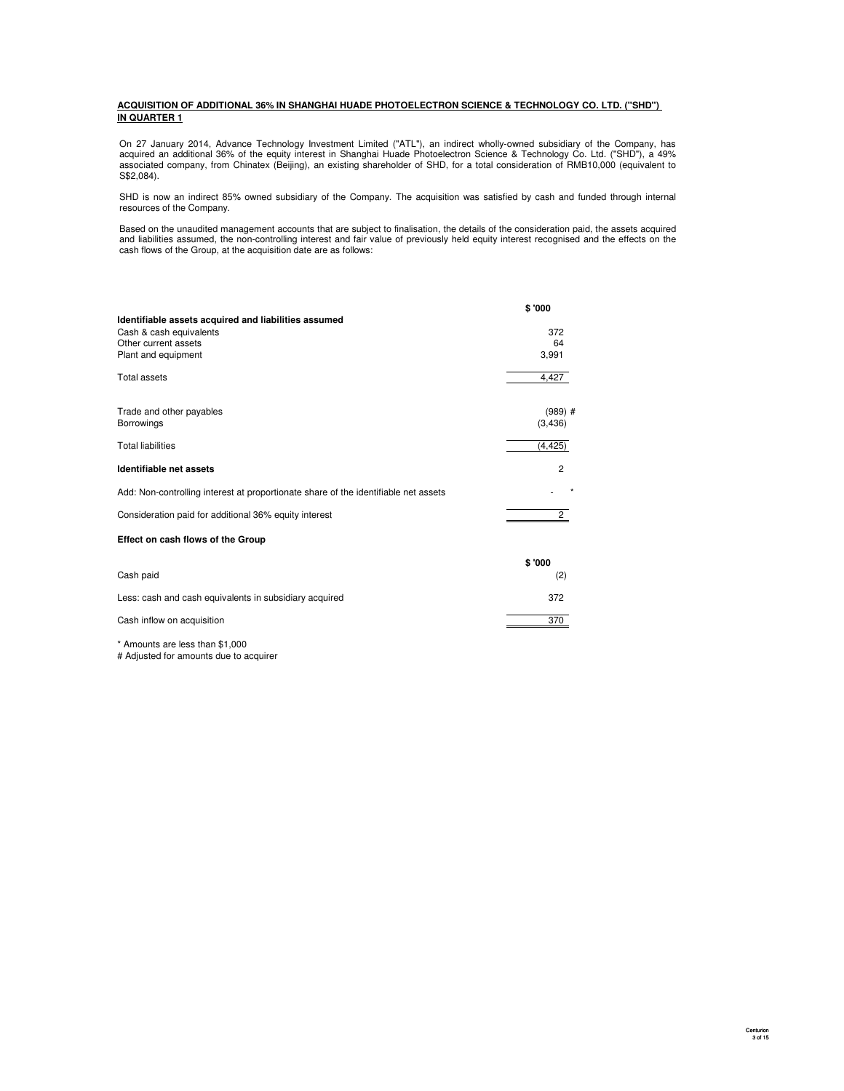### **ACQUISITION OF ADDITIONAL 36% IN SHANGHAI HUADE PHOTOELECTRON SCIENCE & TECHNOLOGY CO. LTD. ("SHD") IN QUARTER 1**

On 27 January 2014, Advance Technology Investment Limited ("ATL"), an indirect wholly-owned subsidiary of the Company, has<br>acquired an additional 36% of the equity interest in Shanghai Huade Photoelectron Science & Technol

SHD is now an indirect 85% owned subsidiary of the Company. The acquisition was satisfied by cash and funded through internal resources of the Company.

Based on the unaudited management accounts that are subject to finalisation, the details of the consideration paid, the assets acquired<br>and liabilities assumed, the non-controlling interest and fair value of previously hel cash flows of the Group, at the acquisition date are as follows:

|                                                                                     | \$'000         |
|-------------------------------------------------------------------------------------|----------------|
| Identifiable assets acquired and liabilities assumed                                |                |
| Cash & cash equivalents                                                             | 372            |
| Other current assets                                                                | 64             |
| Plant and equipment                                                                 | 3,991          |
| <b>Total assets</b>                                                                 | 4.427          |
| Trade and other payables                                                            | $(989)$ #      |
| Borrowings                                                                          | (3, 436)       |
| <b>Total liabilities</b>                                                            | (4, 425)       |
| Identifiable net assets                                                             | $\overline{2}$ |
| Add: Non-controlling interest at proportionate share of the identifiable net assets |                |
| Consideration paid for additional 36% equity interest                               | $\overline{2}$ |
| Effect on cash flows of the Group                                                   |                |
|                                                                                     | \$'000         |
| Cash paid                                                                           | (2)            |
| Less: cash and cash equivalents in subsidiary acquired                              | 372            |
| Cash inflow on acquisition                                                          | 370            |

\* Amounts are less than \$1,000

# Adjusted for amounts due to acquirer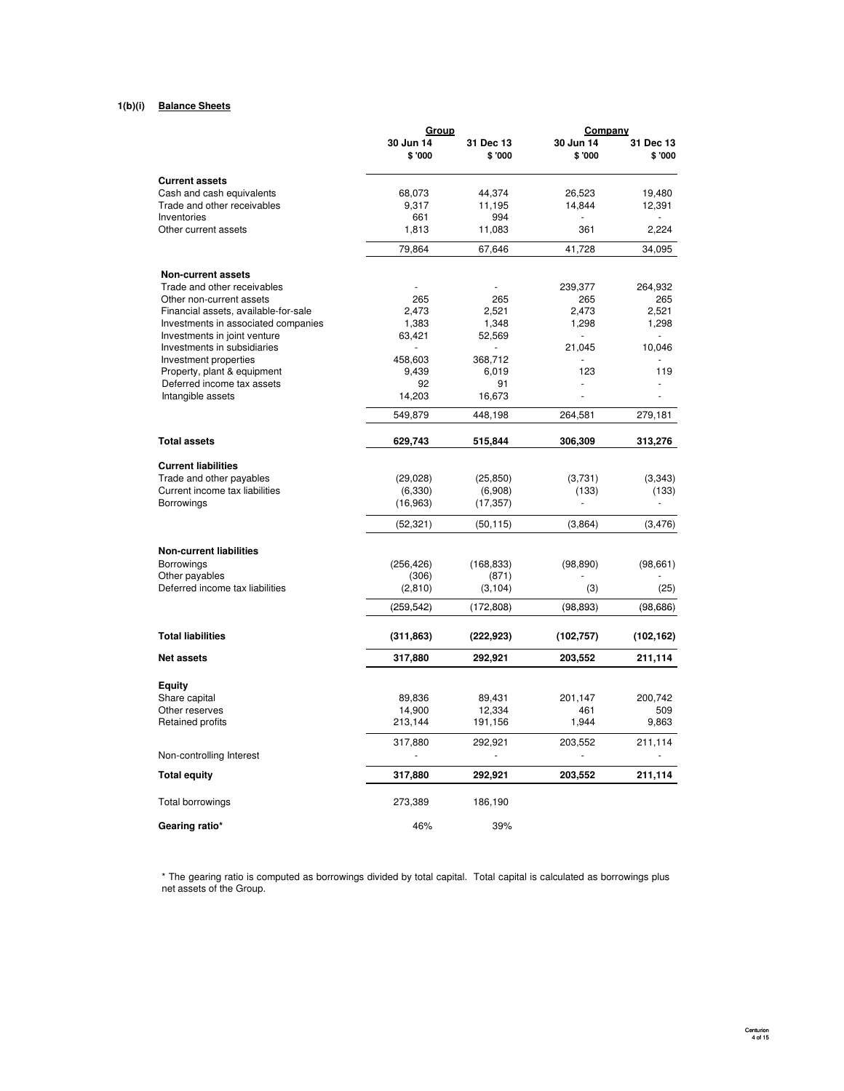#### **1(b)(i) Balance Sheets Balance Sheet**

|                                                      | Group               |                     | Company              |                     |
|------------------------------------------------------|---------------------|---------------------|----------------------|---------------------|
|                                                      | 30 Jun 14<br>\$'000 | 31 Dec 13<br>\$'000 | 30 Jun 14<br>\$ '000 | 31 Dec 13<br>\$'000 |
| <b>Current assets</b>                                |                     |                     |                      |                     |
| Cash and cash equivalents                            | 68,073              | 44,374              | 26,523               | 19,480              |
| Trade and other receivables                          | 9,317               | 11,195              | 14,844               | 12,391              |
| Inventories                                          | 661                 | 994                 |                      |                     |
| Other current assets                                 | 1,813               | 11,083              | 361                  | 2,224               |
|                                                      | 79,864              | 67,646              | 41.728               | 34,095              |
| <b>Non-current assets</b>                            |                     |                     |                      |                     |
| Trade and other receivables                          |                     |                     | 239,377              | 264,932             |
| Other non-current assets                             | 265                 | 265                 | 265                  | 265                 |
| Financial assets, available-for-sale                 | 2,473               | 2,521               | 2,473                | 2,521               |
| Investments in associated companies                  | 1,383               | 1,348               | 1,298                | 1,298               |
| Investments in joint venture                         | 63,421              | 52,569              |                      |                     |
| Investments in subsidiaries<br>Investment properties | 458,603             | 368,712             | 21,045               | 10,046              |
| Property, plant & equipment                          | 9,439               | 6,019               | 123                  | 119                 |
| Deferred income tax assets                           | 92                  | 91                  |                      |                     |
| Intangible assets                                    | 14,203              | 16,673              |                      |                     |
|                                                      | 549,879             | 448,198             | 264,581              | 279,181             |
| <b>Total assets</b>                                  | 629,743             | 515,844             | 306,309              | 313,276             |
| <b>Current liabilities</b>                           |                     |                     |                      |                     |
| Trade and other payables                             | (29, 028)           | (25, 850)           | (3,731)              | (3,343)             |
| Current income tax liabilities                       | (6, 330)            | (6,908)             | (133)                | (133)               |
| Borrowings                                           | (16, 963)           | (17, 357)           |                      |                     |
|                                                      | (52, 321)           | (50, 115)           | (3,864)              | (3, 476)            |
| <b>Non-current liabilities</b>                       |                     |                     |                      |                     |
| <b>Borrowings</b>                                    | (256, 426)          | (168, 833)          | (98, 890)            | (98, 661)           |
| Other payables                                       | (306)               | (871)               |                      |                     |
| Deferred income tax liabilities                      | (2,810)             | (3, 104)            | (3)                  | (25)                |
|                                                      | (259, 542)          | (172, 808)          | (98, 893)            | (98, 686)           |
| <b>Total liabilities</b>                             | (311, 863)          | (222, 923)          | (102, 757)           | (102, 162)          |
| <b>Net assets</b>                                    | 317,880             | 292,921             | 203,552              | 211,114             |
| Equity                                               |                     |                     |                      |                     |
| Share capital                                        | 89,836              | 89,431              | 201,147              | 200,742             |
| Other reserves                                       | 14,900              | 12,334              | 461                  | 509                 |
| Retained profits                                     | 213,144             | 191,156             | 1,944                | 9,863               |
|                                                      | 317,880             | 292,921             | 203,552              | 211,114             |
| Non-controlling Interest                             |                     | ä,                  |                      |                     |
| <b>Total equity</b>                                  | 317,880             | 292,921             | 203,552              | 211,114             |
| Total borrowings                                     | 273,389             | 186,190             |                      |                     |
| Gearing ratio*                                       | 46%                 | 39%                 |                      |                     |

\* The gearing ratio is computed as borrowings divided by total capital. Total capital is calculated as borrowings plus net assets of the Group.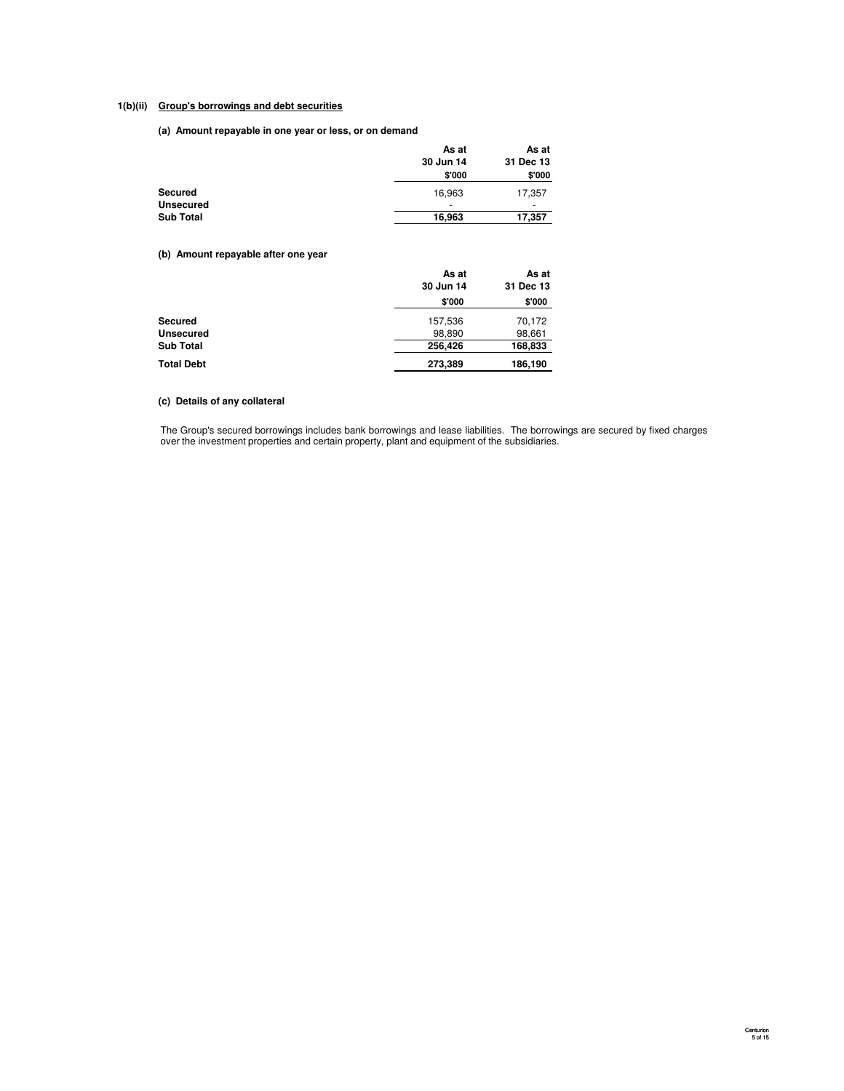# **1(b)(ii) Group's borrowings and debt securities**

**(a) Amount repayable in one year or less, or on demand**

|                  | As at                    | As at     |
|------------------|--------------------------|-----------|
|                  | 30 Jun 14                | 31 Dec 13 |
|                  | \$'000                   | \$'000    |
| Secured          | 16.963                   | 17,357    |
| <b>Unsecured</b> | $\overline{\phantom{0}}$ | -         |
| <b>Sub Total</b> | 16,963                   | 17,357    |

**(b) Amount repayable after one year**

|                   | As at<br>30 Jun 14 | As at<br>31 Dec 13 |
|-------------------|--------------------|--------------------|
|                   | \$'000             | \$'000             |
| <b>Secured</b>    | 157,536            | 70,172             |
| <b>Unsecured</b>  | 98,890             | 98,661             |
| <b>Sub Total</b>  | 256,426            | 168,833            |
| <b>Total Debt</b> | 273,389            | 186,190            |

# **(c) Details of any collateral**

The Group's secured borrowings includes bank borrowings and lease liabilities. The borrowings are secured by fixed charges over the investment properties and certain property, plant and equipment of the subsidiaries.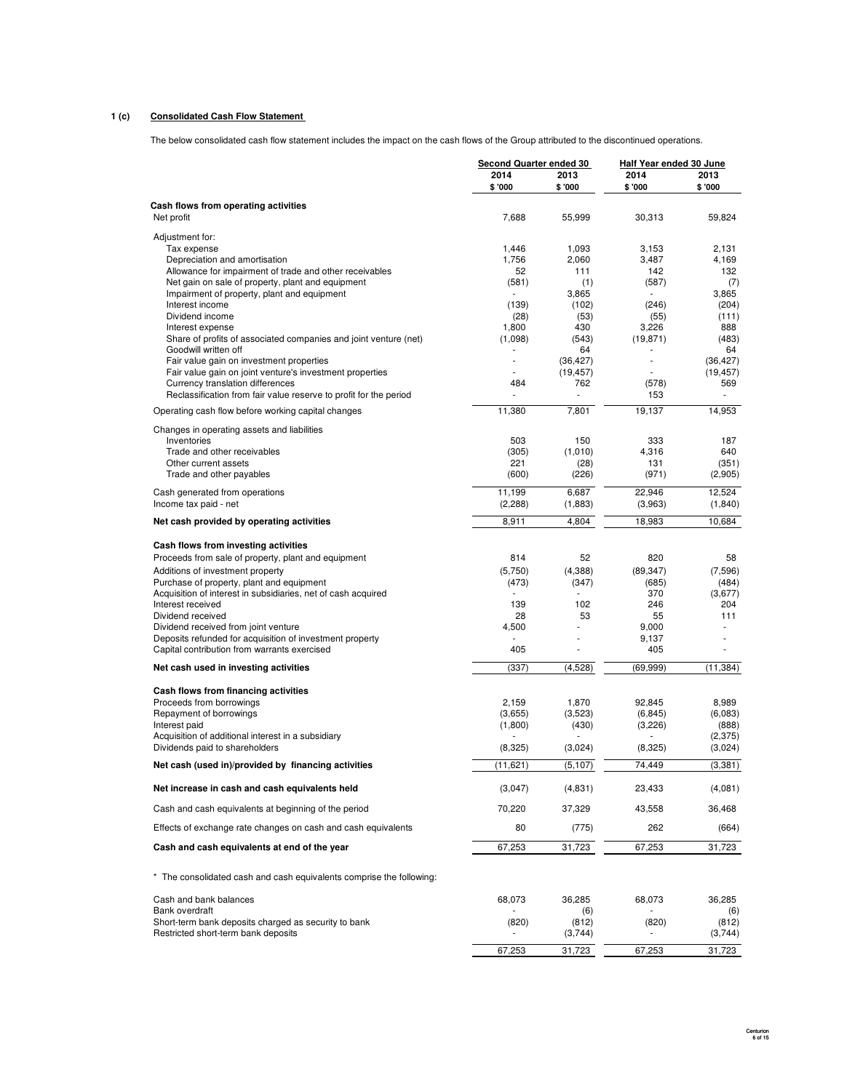### **1 (c) Consolidated Cash Flow Statement**

The below consolidated cash flow statement includes the impact on the cash flows of the Group attributed to the discontinued operations.

|                                                                               | <b>Second Quarter ended 30</b> |                  | <b>Half Year ended 30 June</b> |                  |  |
|-------------------------------------------------------------------------------|--------------------------------|------------------|--------------------------------|------------------|--|
|                                                                               | 2014                           | 2013             | 2014                           | 2013             |  |
|                                                                               | \$'000                         | \$'000           | \$ '000                        | \$'000           |  |
| Cash flows from operating activities                                          |                                |                  |                                |                  |  |
| Net profit                                                                    | 7,688                          | 55,999           | 30,313                         | 59,824           |  |
| Adjustment for:                                                               |                                |                  |                                |                  |  |
| Tax expense                                                                   | 1.446                          | 1,093            | 3,153                          | 2,131            |  |
| Depreciation and amortisation                                                 | 1,756                          | 2,060            | 3,487                          | 4,169            |  |
| Allowance for impairment of trade and other receivables                       | 52                             | 111              | 142                            | 132              |  |
| Net gain on sale of property, plant and equipment                             | (581)                          | (1)              | (587)<br>ä,                    | (7)              |  |
| Impairment of property, plant and equipment<br>Interest income                | (139)                          | 3,865<br>(102)   | (246)                          | 3,865<br>(204)   |  |
| Dividend income                                                               | (28)                           | (53)             | (55)                           | (111)            |  |
| Interest expense                                                              | 1,800                          | 430              | 3,226                          | 888              |  |
| Share of profits of associated companies and joint venture (net)              | (1,098)                        | (543)            | (19, 871)                      | (483)            |  |
| Goodwill written off                                                          |                                | 64               |                                | 64               |  |
| Fair value gain on investment properties                                      | ÷.                             | (36, 427)        | ÷.                             | (36, 427)        |  |
| Fair value gain on joint venture's investment properties                      |                                | (19, 457)        | ÷,                             | (19, 457)        |  |
| Currency translation differences                                              | 484                            | 762              | (578)                          | 569              |  |
| Reclassification from fair value reserve to profit for the period             |                                |                  | 153                            | ÷,               |  |
| Operating cash flow before working capital changes                            | 11,380                         | 7,801            | 19,137                         | 14,953           |  |
| Changes in operating assets and liabilities                                   |                                |                  |                                |                  |  |
| Inventories                                                                   | 503                            | 150              | 333                            | 187              |  |
| Trade and other receivables                                                   | (305)                          | (1,010)          | 4.316                          | 640              |  |
| Other current assets                                                          | 221                            | (28)             | 131                            | (351)            |  |
| Trade and other payables                                                      | (600)                          | (226)            | (971)                          | (2,905)          |  |
| Cash generated from operations                                                | 11,199                         | 6,687            | 22,946                         | 12,524           |  |
| Income tax paid - net                                                         | (2, 288)                       | (1,883)          | (3,963)                        | (1, 840)         |  |
| Net cash provided by operating activities                                     | 8,911                          | 4,804            | 18,983                         | 10,684           |  |
| Cash flows from investing activities                                          |                                |                  |                                |                  |  |
|                                                                               | 814                            | 52               | 820                            | 58               |  |
| Proceeds from sale of property, plant and equipment                           |                                |                  |                                |                  |  |
| Additions of investment property<br>Purchase of property, plant and equipment | (5,750)<br>(473)               | (4,388)<br>(347) | (89, 347)<br>(685)             | (7,596)<br>(484) |  |
| Acquisition of interest in subsidiaries, net of cash acquired                 |                                |                  | 370                            | (3,677)          |  |
| Interest received                                                             | 139                            | 102              | 246                            | 204              |  |
| Dividend received                                                             | 28                             | 53               | 55                             | 111              |  |
| Dividend received from joint venture                                          | 4,500                          | $\overline{a}$   | 9,000                          |                  |  |
| Deposits refunded for acquisition of investment property                      |                                |                  | 9,137                          |                  |  |
| Capital contribution from warrants exercised                                  | 405                            |                  | 405                            |                  |  |
| Net cash used in investing activities                                         | (337)                          | (4,528)          | (69, 999)                      | (11, 384)        |  |
| Cash flows from financing activities                                          |                                |                  |                                |                  |  |
| Proceeds from borrowings                                                      | 2.159                          | 1,870            | 92,845                         | 8,989            |  |
| Repayment of borrowings                                                       | (3,655)                        | (3,523)          | (6, 845)                       | (6,083)          |  |
| Interest paid                                                                 | (1,800)                        | (430)            | (3,226)                        | (888)            |  |
| Acquisition of additional interest in a subsidiary                            |                                |                  |                                | (2,375)          |  |
| Dividends paid to shareholders                                                | (8,325)                        | (3,024)          | (8,325)                        | (3,024)          |  |
| Net cash (used in)/provided by financing activities                           | (11, 621)                      | (5, 107)         | 74,449                         | (3,381)          |  |
| Net increase in cash and cash equivalents held                                | (3,047)                        | (4,831)          | 23,433                         | (4,081)          |  |
| Cash and cash equivalents at beginning of the period                          | 70,220                         | 37,329           | 43,558                         | 36,468           |  |
| Effects of exchange rate changes on cash and cash equivalents                 | 80                             |                  | 262                            | (664)            |  |
|                                                                               |                                | (775)            |                                |                  |  |
| Cash and cash equivalents at end of the year                                  | 67,253                         | 31,723           | 67,253                         | 31,723           |  |
| * The consolidated cash and cash equivalents comprise the following:          |                                |                  |                                |                  |  |
| Cash and bank balances                                                        | 68,073                         | 36,285           | 68,073                         | 36,285           |  |
| Bank overdraft                                                                |                                | (6)              |                                | (6)              |  |
| Short-term bank deposits charged as security to bank                          | (820)                          | (812)            | (820)                          | (812)            |  |
| Restricted short-term bank deposits                                           |                                | (3,744)          |                                | (3,744)          |  |
|                                                                               | 67,253                         | 31,723           | 67,253                         | 31,723           |  |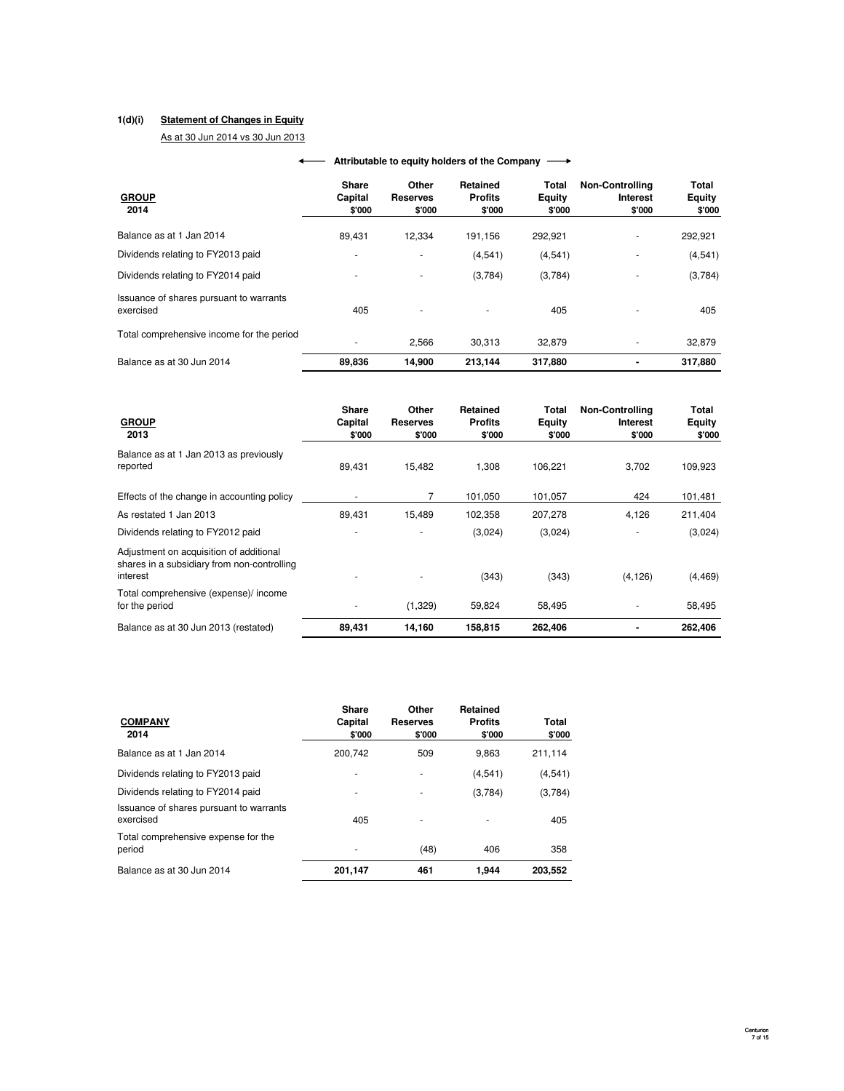### **1(d)(i) Statement of Changes in Equity**

As at 30 Jun 2014 vs 30 Jun 2013

| <b>GROUP</b><br>2014                                 | Share<br>Capital<br>\$'000 | Other<br><b>Reserves</b><br>\$'000 | Retained<br><b>Profits</b><br>\$'000 | Total<br>Equity<br>\$'000 | <b>Non-Controlling</b><br>Interest<br>\$'000 | Total<br>Equity<br>\$'000 |
|------------------------------------------------------|----------------------------|------------------------------------|--------------------------------------|---------------------------|----------------------------------------------|---------------------------|
| Balance as at 1 Jan 2014                             | 89,431                     | 12.334                             | 191,156                              | 292,921                   | ۰                                            | 292,921                   |
| Dividends relating to FY2013 paid                    | ۰                          | ۰                                  | (4,541)                              | (4,541)                   | ۰                                            | (4,541)                   |
| Dividends relating to FY2014 paid                    |                            | ۰                                  | (3,784)                              | (3,784)                   | $\overline{\phantom{a}}$                     | (3,784)                   |
| Issuance of shares pursuant to warrants<br>exercised | 405                        |                                    |                                      | 405                       |                                              | 405                       |
| Total comprehensive income for the period            |                            | 2.566                              | 30.313                               | 32.879                    | ٠                                            | 32,879                    |
| Balance as at 30 Jun 2014                            | 89.836                     | 14.900                             | 213.144                              | 317.880                   | $\blacksquare$                               | 317.880                   |

### **← Attributable to equity holders of the Company**

| <b>GROUP</b><br>2013                                                                               | Share<br>Capital<br>\$'000 | Other<br><b>Reserves</b><br>\$'000 | Retained<br><b>Profits</b><br>\$'000 | Total<br><b>Equity</b><br>\$'000 | <b>Non-Controlling</b><br><b>Interest</b><br>\$'000 | Total<br>Equity<br>\$'000 |
|----------------------------------------------------------------------------------------------------|----------------------------|------------------------------------|--------------------------------------|----------------------------------|-----------------------------------------------------|---------------------------|
| Balance as at 1 Jan 2013 as previously<br>reported                                                 | 89,431                     | 15,482                             | 1,308                                | 106,221                          | 3,702                                               | 109,923                   |
| Effects of the change in accounting policy                                                         |                            | 7                                  | 101.050                              | 101,057                          | 424                                                 | 101,481                   |
| As restated 1 Jan 2013                                                                             | 89.431                     | 15,489                             | 102,358                              | 207,278                          | 4,126                                               | 211,404                   |
| Dividends relating to FY2012 paid                                                                  |                            |                                    | (3,024)                              | (3,024)                          |                                                     | (3,024)                   |
| Adjustment on acquisition of additional<br>shares in a subsidiary from non-controlling<br>interest |                            |                                    | (343)                                | (343)                            | (4, 126)                                            | (4, 469)                  |
| Total comprehensive (expense)/ income<br>for the period                                            |                            | (1,329)                            | 59,824                               | 58,495                           |                                                     | 58,495                    |
| Balance as at 30 Jun 2013 (restated)                                                               | 89,431                     | 14,160                             | 158,815                              | 262,406                          |                                                     | 262,406                   |

| <b>COMPANY</b><br>2014                               | Share<br>Capital<br>\$'000 | Other<br><b>Reserves</b><br>\$'000 | <b>Retained</b><br><b>Profits</b><br>\$'000 | Total<br>\$'000 |
|------------------------------------------------------|----------------------------|------------------------------------|---------------------------------------------|-----------------|
| Balance as at 1 Jan 2014                             | 200.742                    | 509                                | 9.863                                       | 211,114         |
| Dividends relating to FY2013 paid                    |                            |                                    | (4,541)                                     | (4,541)         |
| Dividends relating to FY2014 paid                    |                            | ٠                                  | (3,784)                                     | (3,784)         |
| Issuance of shares pursuant to warrants<br>exercised | 405                        | ٠                                  |                                             | 405             |
| Total comprehensive expense for the<br>period        |                            | (48)                               | 406                                         | 358             |
| Balance as at 30 Jun 2014                            | 201,147                    | 461                                | 1.944                                       | 203,552         |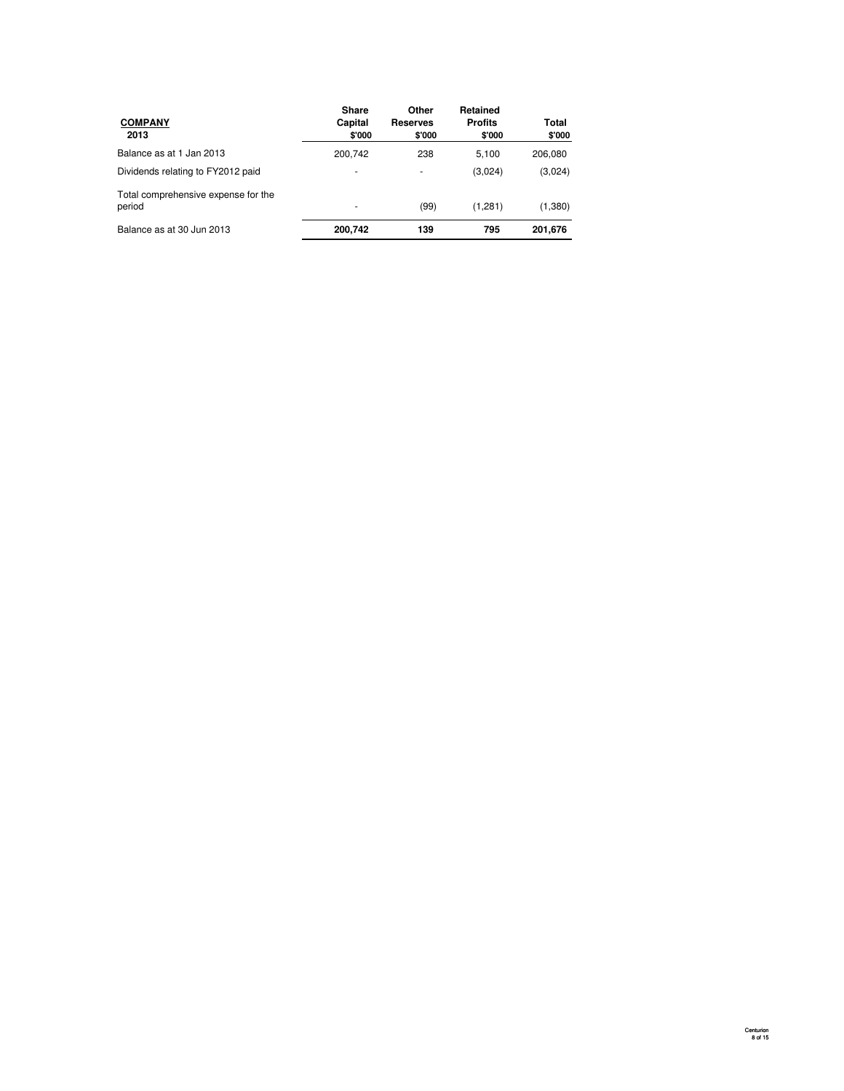| <b>COMPANY</b><br>2013                        | <b>Share</b><br>Capital<br>\$'000 | Other<br><b>Reserves</b><br>\$'000 | Retained<br><b>Profits</b><br>\$'000 | Total<br>\$'000 |
|-----------------------------------------------|-----------------------------------|------------------------------------|--------------------------------------|-----------------|
| Balance as at 1 Jan 2013                      | 200,742                           | 238                                | 5,100                                | 206,080         |
| Dividends relating to FY2012 paid             | ٠                                 | ٠                                  | (3,024)                              | (3,024)         |
| Total comprehensive expense for the<br>period | ۰                                 | (99)                               | (1,281)                              | (1,380)         |
| Balance as at 30 Jun 2013                     | 200,742                           | 139                                | 795                                  | 201,676         |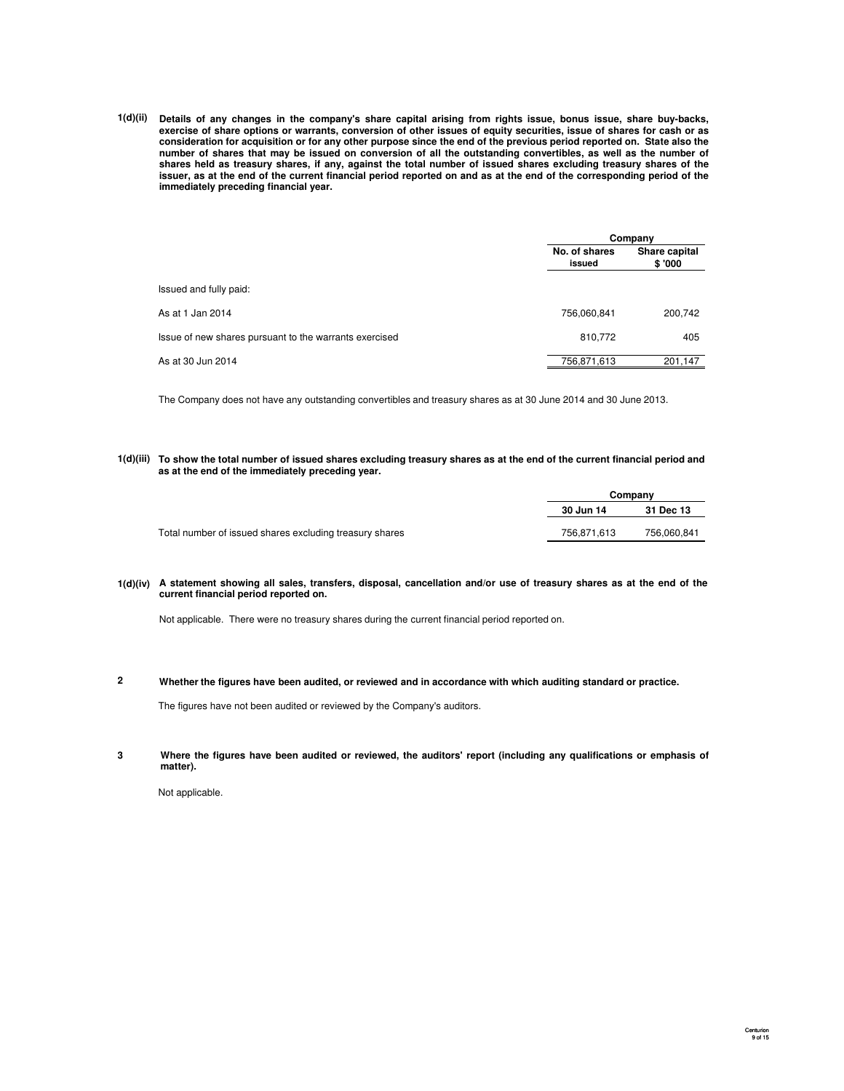**1(d)(ii) Details of any changes in the company's share capital arising from rights issue, bonus issue, share buy-backs, exercise of share options or warrants, conversion of other issues of equity securities, issue of shares for cash or as consideration for acquisition or for any other purpose since the end of the previous period reported on. State also the number of shares that may be issued on conversion of all the outstanding convertibles, as well as the number of shares held as treasury shares, if any, against the total number of issued shares excluding treasury shares of the issuer, as at the end of the current financial period reported on and as at the end of the corresponding period of the immediately preceding financial year.**

|                                                        |                         | Company                 |  |  |
|--------------------------------------------------------|-------------------------|-------------------------|--|--|
|                                                        | No. of shares<br>issued | Share capital<br>\$'000 |  |  |
| Issued and fully paid:                                 |                         |                         |  |  |
| As at 1 Jan 2014                                       | 756,060,841             | 200,742                 |  |  |
| Issue of new shares pursuant to the warrants exercised | 810,772                 | 405                     |  |  |
| As at 30 Jun 2014                                      | 756.871.613             | 201.147                 |  |  |

The Company does not have any outstanding convertibles and treasury shares as at 30 June 2014 and 30 June 2013.

**1(d)(iii) To show the total number of issued shares excluding treasury shares as at the end of the current financial period and as at the end of the immediately preceding year.**

|                                                         | Company     |             |  |
|---------------------------------------------------------|-------------|-------------|--|
|                                                         | 30 Jun 14   | 31 Dec 13   |  |
| Total number of issued shares excluding treasury shares | 756.871.613 | 756.060.841 |  |

#### **1(d)(iv) A statement showing all sales, transfers, disposal, cancellation and/or use of treasury shares as at the end of the current financial period reported on.**

Not applicable. There were no treasury shares during the current financial period reported on.

**2** Whether the figures have been audited, or reviewed and in accordance with which auditing standard or practice.

The figures have not been audited or reviewed by the Company's auditors.

**3 Where the figures have been audited or reviewed, the auditors' report (including any qualifications or emphasis of matter).**

Not applicable.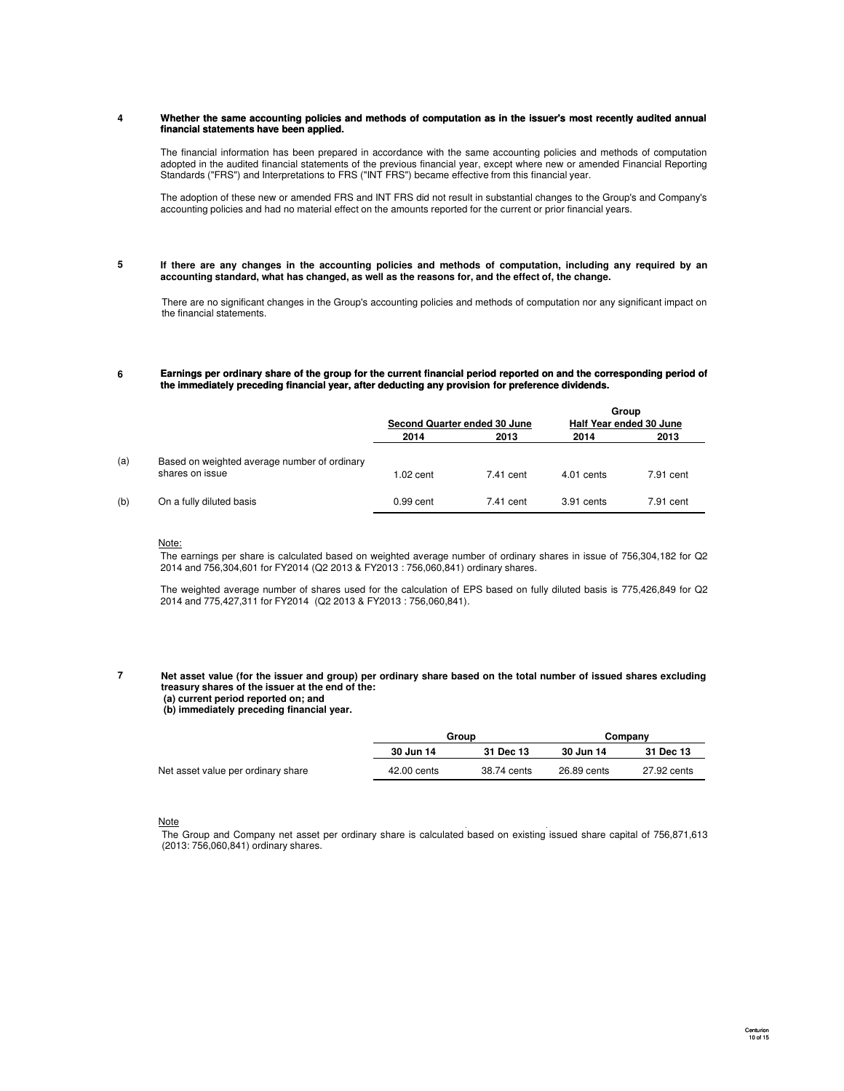#### **4** Whether the same accounting policies and methods of computation as in the issuer's most recently audited annual **financial statements have been applied.**

The financial information has been prepared in accordance with the same accounting policies and methods of computation adopted in the audited financial statements of the previous financial year, except where new or amended Financial Reporting Standards ("FRS") and Interpretations to FRS ("INT FRS") became effective from this financial year.

The adoption of these new or amended FRS and INT FRS did not result in substantial changes to the Group's and Company's accounting policies and had no material effect on the amounts reported for the current or prior financial years.

**5 If there are any changes in the accounting policies and methods of computation, including any required by an accounting standard, what has changed, as well as the reasons for, and the effect of, the change.**

There are no significant changes in the Group's accounting policies and methods of computation nor any significant impact on the financial statements.

#### **6 Earnings per ordinary share of the group for the current financial period reported on and the corresponding period of the immediately preceding financial year, after deducting any provision for preference dividends.**

|     |                                              |                              |           |                         | Group     |
|-----|----------------------------------------------|------------------------------|-----------|-------------------------|-----------|
|     |                                              | Second Quarter ended 30 June |           | Half Year ended 30 June |           |
|     |                                              | 2014                         | 2013      | 2014                    | 2013      |
| (a) | Based on weighted average number of ordinary |                              |           |                         |           |
|     | shares on issue                              | $1.02$ cent                  | 7.41 cent | $4.01$ cents            | 7.91 cent |
| (b) | On a fully diluted basis                     | 0.99 cent                    | 7.41 cent | 3.91 cents              | 7.91 cent |

#### Note:

The earnings per share is calculated based on weighted average number of ordinary shares in issue of 756,304,182 for Q2 2014 and 756,304,601 for FY2014 (Q2 2013 & FY2013 : 756,060,841) ordinary shares.

The weighted average number of shares used for the calculation of EPS based on fully diluted basis is 775,426,849 for Q2 2014 and 775,427,311 for FY2014 (Q2 2013 & FY2013 : 756,060,841).

**7**

#### Net asset value (for the issuer and group) per ordinary share based on the total number of issued shares excluding **treasury shares of the issuer at the end of the: (a) current period reported on; and**

**(b) immediately preceding financial year.**

|                                    | Group       |             | Company     |             |
|------------------------------------|-------------|-------------|-------------|-------------|
|                                    | 30 Jun 14   | 31 Dec 13   | 30 Jun 14   | 31 Dec 13   |
| Net asset value per ordinary share | 42.00 cents | 38.74 cents | 26.89 cents | 27.92 cents |

#### **Note**

The Group and Company net asset per ordinary share is calculated based on existing issued share capital of 756,871,613 (2013: 756,060,841) ordinary shares.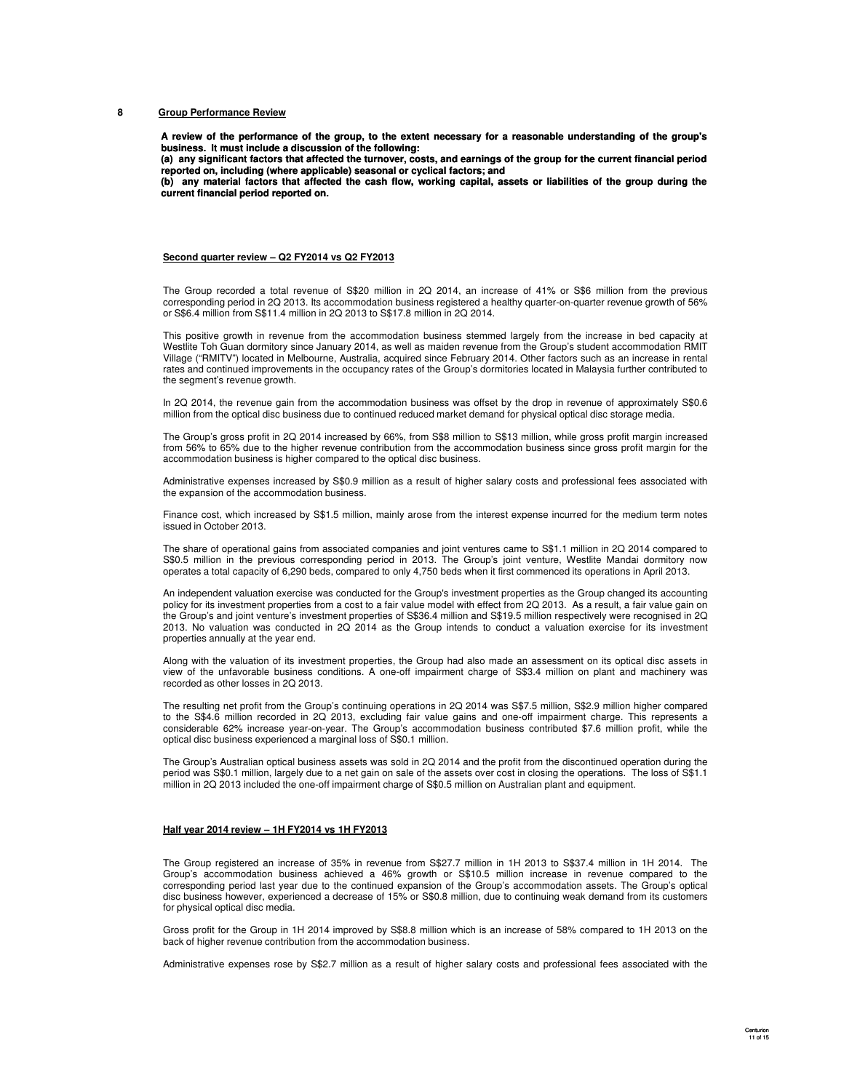#### **8 Group Performance Review**

**A review of the performance of the group, to the extent necessary for a reasonable understanding of the group's business. It must include a discussion of the following:**

**(a) any significant factors that affected the turnover, costs, and earnings of the group for the current financial period reported on, including (where applicable) seasonal or cyclical factors; and**

**(b) any material factors that affected the cash flow, working capital, assets or liabilities of the group during the current financial period reported on.**

#### **Second quarter review – Q2 FY2014 vs Q2 FY2013**

The Group recorded a total revenue of S\$20 million in 2Q 2014, an increase of 41% or S\$6 million from the previous corresponding period in 2Q 2013. Its accommodation business registered a healthy quarter-on-quarter revenue growth of 56% or S\$6.4 million from S\$11.4 million in 2Q 2013 to S\$17.8 million in 2Q 2014.

This positive growth in revenue from the accommodation business stemmed largely from the increase in bed capacity at Westlite Toh Guan dormitory since January 2014, as well as maiden revenue from the Group's student accommodation RMIT Village ("RMITV") located in Melbourne, Australia, acquired since February 2014. Other factors such as an increase in rental rates and continued improvements in the occupancy rates of the Group's dormitories located in Malaysia further contributed to the segment's revenue growth.

In 2Q 2014, the revenue gain from the accommodation business was offset by the drop in revenue of approximately S\$0.6 million from the optical disc business due to continued reduced market demand for physical optical disc storage media.

The Group's gross profit in 2Q 2014 increased by 66%, from S\$8 million to S\$13 million, while gross profit margin increased from 56% to 65% due to the higher revenue contribution from the accommodation business since gross profit margin for the accommodation business is higher compared to the optical disc business.

Administrative expenses increased by S\$0.9 million as a result of higher salary costs and professional fees associated with the expansion of the accommodation business.

Finance cost, which increased by S\$1.5 million, mainly arose from the interest expense incurred for the medium term notes issued in October 2013.

The share of operational gains from associated companies and joint ventures came to S\$1.1 million in 2Q 2014 compared to S\$0.5 million in the previous corresponding period in 2013. The Group's joint venture, Westlite Mandai dormitory now operates a total capacity of 6,290 beds, compared to only 4,750 beds when it first commenced its operations in April 2013.

An independent valuation exercise was conducted for the Group's investment properties as the Group changed its accounting policy for its investment properties from a cost to a fair value model with effect from 2Q 2013. As a result, a fair value gain on the Group's and joint venture's investment properties of S\$36.4 million and S\$19.5 million respectively were recognised in 2Q 2013. No valuation was conducted in 2Q 2014 as the Group intends to conduct a valuation exercise for its investment properties annually at the year end.

Along with the valuation of its investment properties, the Group had also made an assessment on its optical disc assets in view of the unfavorable business conditions. A one-off impairment charge of S\$3.4 million on plant and machinery was recorded as other losses in 2Q 2013.

The resulting net profit from the Group's continuing operations in 2Q 2014 was S\$7.5 million, S\$2.9 million higher compared to the S\$4.6 million recorded in 2Q 2013, excluding fair value gains and one-off impairment charge. This represents a considerable 62% increase year-on-year. The Group's accommodation business contributed \$7.6 million profit, while the optical disc business experienced a marginal loss of S\$0.1 million.

The Group's Australian optical business assets was sold in 2Q 2014 and the profit from the discontinued operation during the period was S\$0.1 million, largely due to a net gain on sale of the assets over cost in closing the operations. The loss of S\$1.1 million in 2Q 2013 included the one-off impairment charge of S\$0.5 million on Australian plant and equipment.

#### **Half year 2014 review – 1H FY2014 vs 1H FY2013**

The Group registered an increase of 35% in revenue from S\$27.7 million in 1H 2013 to S\$37.4 million in 1H 2014. The Group's accommodation business achieved a 46% growth or S\$10.5 million increase in revenue compared to the corresponding period last year due to the continued expansion of the Group's accommodation assets. The Group's optical disc business however, experienced a decrease of 15% or S\$0.8 million, due to continuing weak demand from its customers for physical optical disc media.

Gross profit for the Group in 1H 2014 improved by S\$8.8 million which is an increase of 58% compared to 1H 2013 on the back of higher revenue contribution from the accommodation business.

Administrative expenses rose by S\$2.7 million as a result of higher salary costs and professional fees associated with the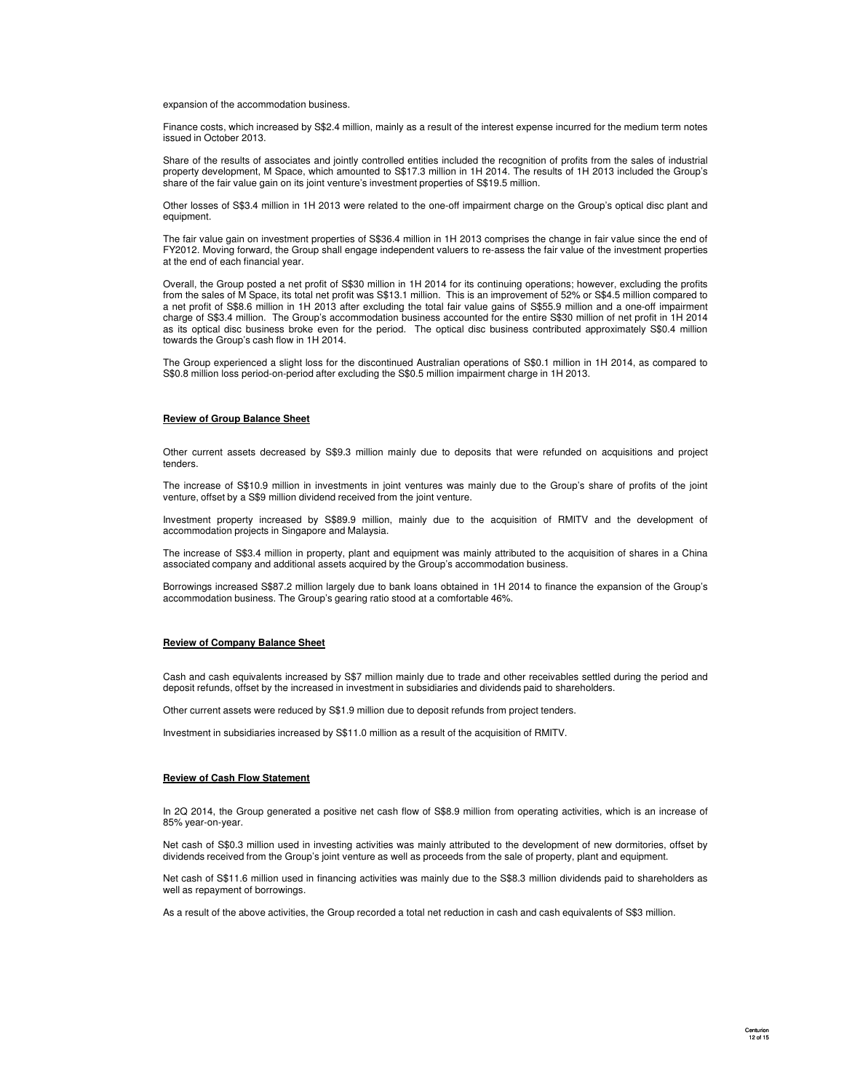#### expansion of the accommodation business.

Finance costs, which increased by S\$2.4 million, mainly as a result of the interest expense incurred for the medium term notes issued in October 2013.

Share of the results of associates and jointly controlled entities included the recognition of profits from the sales of industrial property development, M Space, which amounted to S\$17.3 million in 1H 2014. The results of 1H 2013 included the Group's share of the fair value gain on its joint venture's investment properties of S\$19.5 million.

Other losses of S\$3.4 million in 1H 2013 were related to the one-off impairment charge on the Group's optical disc plant and equipment.

The fair value gain on investment properties of S\$36.4 million in 1H 2013 comprises the change in fair value since the end of FY2012. Moving forward, the Group shall engage independent valuers to re-assess the fair value of the investment properties at the end of each financial year.

Overall, the Group posted a net profit of S\$30 million in 1H 2014 for its continuing operations; however, excluding the profits from the sales of M Space, its total net profit was S\$13.1 million. This is an improvement of 52% or S\$4.5 million compared to a net profit of S\$8.6 million in 1H 2013 after excluding the total fair value gains of S\$55.9 million and a one-off impairment charge of S\$3.4 million. The Group's accommodation business accounted for the entire S\$30 million of net profit in 1H 2014 as its optical disc business broke even for the period. The optical disc business contributed approximately S\$0.4 million towards the Group's cash flow in 1H 2014.

The Group experienced a slight loss for the discontinued Australian operations of S\$0.1 million in 1H 2014, as compared to S\$0.8 million loss period-on-period after excluding the S\$0.5 million impairment charge in 1H 2013.

#### **Review of Group Balance Sheet**

Other current assets decreased by S\$9.3 million mainly due to deposits that were refunded on acquisitions and project tenders.

The increase of S\$10.9 million in investments in joint ventures was mainly due to the Group's share of profits of the joint venture, offset by a S\$9 million dividend received from the joint venture.

Investment property increased by S\$89.9 million, mainly due to the acquisition of RMITV and the development of accommodation projects in Singapore and Malaysia.

The increase of S\$3.4 million in property, plant and equipment was mainly attributed to the acquisition of shares in a China associated company and additional assets acquired by the Group's accommodation business.

Borrowings increased S\$87.2 million largely due to bank loans obtained in 1H 2014 to finance the expansion of the Group's accommodation business. The Group's gearing ratio stood at a comfortable 46%.

#### **Review of Company Balance Sheet**

Cash and cash equivalents increased by S\$7 million mainly due to trade and other receivables settled during the period and deposit refunds, offset by the increased in investment in subsidiaries and dividends paid to shareholders.

Other current assets were reduced by S\$1.9 million due to deposit refunds from project tenders.

Investment in subsidiaries increased by S\$11.0 million as a result of the acquisition of RMITV.

#### **Review of Cash Flow Statement**

In 2Q 2014, the Group generated a positive net cash flow of S\$8.9 million from operating activities, which is an increase of 85% year-on-year.

Net cash of S\$0.3 million used in investing activities was mainly attributed to the development of new dormitories, offset by dividends received from the Group's joint venture as well as proceeds from the sale of property, plant and equipment.

Net cash of S\$11.6 million used in financing activities was mainly due to the S\$8.3 million dividends paid to shareholders as well as repayment of borrowings.

As a result of the above activities, the Group recorded a total net reduction in cash and cash equivalents of S\$3 million.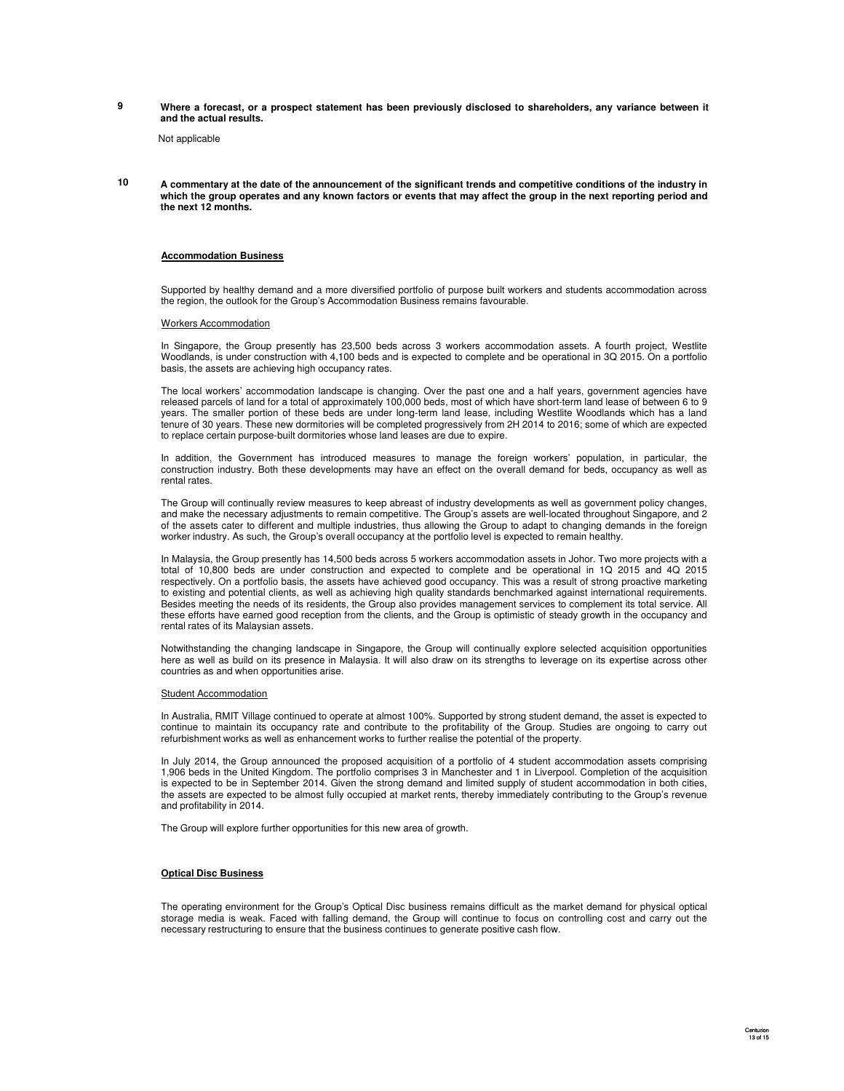**9 Where a forecast, or a prospect statement has been previously disclosed to shareholders, any variance between it and the actual results.**

Not applicable

**10 A commentary at the date of the announcement of the significant trends and competitive conditions of the industry in which the group operates and any known factors or events that may affect the group in the next reporting period and the next 12 months.**

#### **Accommodation Business**

Supported by healthy demand and a more diversified portfolio of purpose built workers and students accommodation across the region, the outlook for the Group's Accommodation Business remains favourable.

#### Workers Accommodation

In Singapore, the Group presently has 23,500 beds across 3 workers accommodation assets. A fourth project, Westlite Woodlands, is under construction with 4,100 beds and is expected to complete and be operational in 3Q 2015. On a portfolio basis, the assets are achieving high occupancy rates.

The local workers' accommodation landscape is changing. Over the past one and a half years, government agencies have released parcels of land for a total of approximately 100,000 beds, most of which have short-term land lease of between 6 to 9 years. The smaller portion of these beds are under long-term land lease, including Westlite Woodlands which has a land tenure of 30 years. These new dormitories will be completed progressively from 2H 2014 to 2016; some of which are expected to replace certain purpose-built dormitories whose land leases are due to expire.

In addition, the Government has introduced measures to manage the foreign workers' population, in particular, the construction industry. Both these developments may have an effect on the overall demand for beds, occupancy as well as rental rates.

The Group will continually review measures to keep abreast of industry developments as well as government policy changes, and make the necessary adjustments to remain competitive. The Group's assets are well-located throughout Singapore, and 2 of the assets cater to different and multiple industries, thus allowing the Group to adapt to changing demands in the foreign worker industry. As such, the Group's overall occupancy at the portfolio level is expected to remain healthy.

In Malaysia, the Group presently has 14,500 beds across 5 workers accommodation assets in Johor. Two more projects with a total of 10,800 beds are under construction and expected to complete and be operational in 1Q 2015 and 4Q 2015 respectively. On a portfolio basis, the assets have achieved good occupancy. This was a result of strong proactive marketing to existing and potential clients, as well as achieving high quality standards benchmarked against international requirements. Besides meeting the needs of its residents, the Group also provides management services to complement its total service. All these efforts have earned good reception from the clients, and the Group is optimistic of steady growth in the occupancy and<br>rental rates of its Malaysian assets.

Notwithstanding the changing landscape in Singapore, the Group will continually explore selected acquisition opportunities here as well as build on its presence in Malaysia. It will also draw on its strengths to leverage on its expertise across other countries as and when opportunities arise.

#### Student Accommodation

In Australia, RMIT Village continued to operate at almost 100%. Supported by strong student demand, the asset is expected to continue to maintain its occupancy rate and contribute to the profitability of the Group. Studies are ongoing to carry out refurbishment works as well as enhancement works to further realise the potential of the property.

In July 2014, the Group announced the proposed acquisition of a portfolio of 4 student accommodation assets comprising 1,906 beds in the United Kingdom. The portfolio comprises 3 in Manchester and 1 in Liverpool. Completion of the acquisition is expected to be in September 2014. Given the strong demand and limited supply of student accommodation in both cities, the assets are expected to be almost fully occupied at market rents, thereby immediately contributing to the Group's revenue and profitability in 2014.

The Group will explore further opportunities for this new area of growth.

#### **Optical Disc Business**

The operating environment for the Group's Optical Disc business remains difficult as the market demand for physical optical storage media is weak. Faced with falling demand, the Group will continue to focus on controlling cost and carry out the necessary restructuring to ensure that the business continues to generate positive cash flow.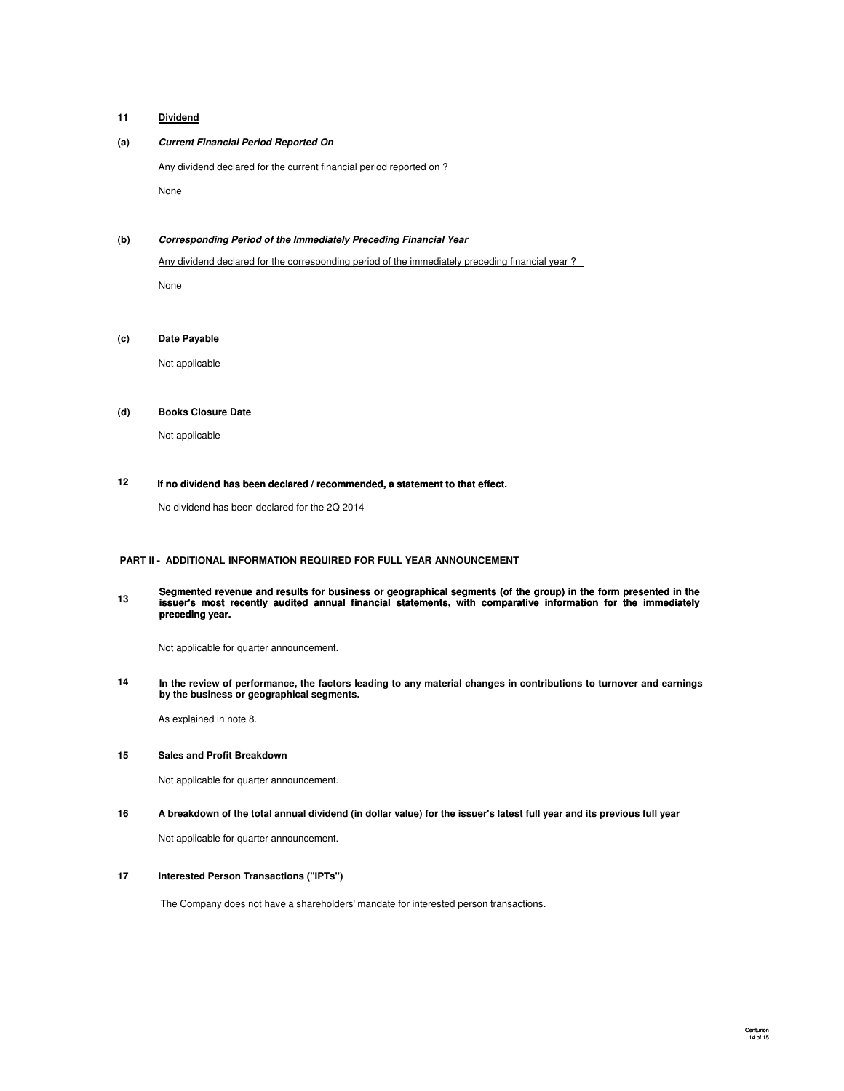#### **11 Dividend**

### **(a) Current Financial Period Reported On**

Any dividend declared for the current financial period reported on ?

None

### **(b) Corresponding Period of the Immediately Preceding Financial Year**

Any dividend declared for the corresponding period of the immediately preceding financial year ? None

### **(c) Date Payable**

Not applicable

#### **(d) Books Closure Date**

Not applicable

#### **12 If no dividend has been declared / recommended, a statement to that effect.**

No dividend has been declared for the 2Q 2014

#### **PART II - ADDITIONAL INFORMATION REQUIRED FOR FULL YEAR ANNOUNCEMENT**

**13 Segmented revenue and results for business or geographical segments (of the group) in the form presented in the issuer's most recently audited annual financial statements, with comparative information for the immediately preceding year.**

Not applicable for quarter announcement.

**14 preceding In the review of performance, the factors leading to any material changes in contributions to turnover and earnings by the business or geographical segments.**

As explained in note 8.

### **15 Sales and Profit Breakdown**

Not applicable for quarter announcement.

#### **16 A breakdown of the total annual dividend (in dollar value) for the issuer's latest full year and its previous full year**

Not applicable for quarter announcement.

#### **17 Interested Person Transactions ("IPTs")**

The Company does not have a shareholders' mandate for interested person transactions.